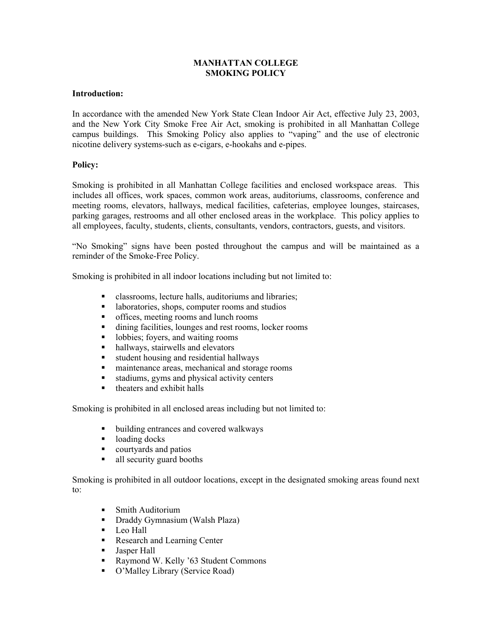## **MANHATTAN COLLEGE SMOKING POLICY**

## **Introduction:**

In accordance with the amended New York State Clean Indoor Air Act, effective July 23, 2003, and the New York City Smoke Free Air Act, smoking is prohibited in all Manhattan College campus buildings. This Smoking Policy also applies to "vaping" and the use of electronic nicotine delivery systems-such as e-cigars, e-hookahs and e-pipes.

## **Policy:**

Smoking is prohibited in all Manhattan College facilities and enclosed workspace areas. This includes all offices, work spaces, common work areas, auditoriums, classrooms, conference and meeting rooms, elevators, hallways, medical facilities, cafeterias, employee lounges, staircases, parking garages, restrooms and all other enclosed areas in the workplace. This policy applies to all employees, faculty, students, clients, consultants, vendors, contractors, guests, and visitors.

"No Smoking" signs have been posted throughout the campus and will be maintained as a reminder of the Smoke-Free Policy.

Smoking is prohibited in all indoor locations including but not limited to:

- classrooms, lecture halls, auditoriums and libraries;
- **a** laboratories, shops, computer rooms and studios
- offices, meeting rooms and lunch rooms
- dining facilities, lounges and rest rooms, locker rooms
- lobbies; foyers, and waiting rooms
- hallways, stairwells and elevators
- student housing and residential hallways
- maintenance areas, mechanical and storage rooms
- stadiums, gyms and physical activity centers
- $\blacksquare$  theaters and exhibit halls

Smoking is prohibited in all enclosed areas including but not limited to:

- ullet building entrances and covered walkways
- loading docks
- courtyards and patios
- all security guard booths

Smoking is prohibited in all outdoor locations, except in the designated smoking areas found next to:

- **Smith Auditorium**
- Draddy Gymnasium (Walsh Plaza)
- $\blacksquare$  Leo Hall
- Research and Learning Center
- **Jasper Hall**
- Raymond W. Kelly '63 Student Commons
- O'Malley Library (Service Road)